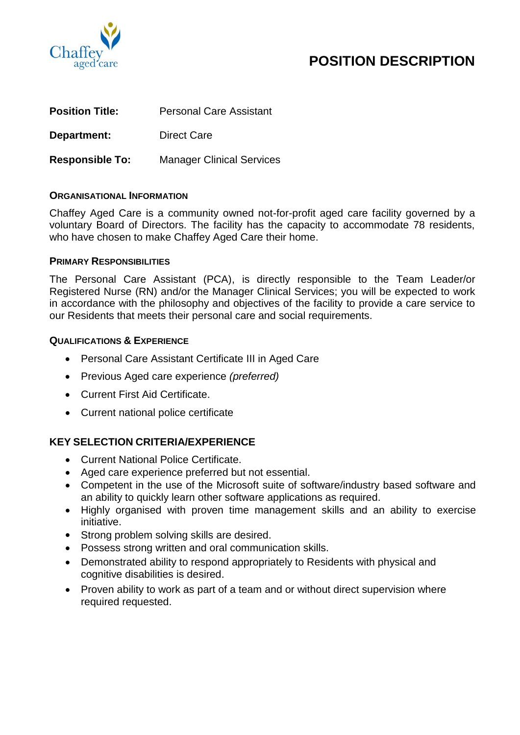

# **POSITION DESCRIPTION**

| <b>Position Title:</b> | <b>Personal Care Assistant</b>   |
|------------------------|----------------------------------|
| Department:            | <b>Direct Care</b>               |
| <b>Responsible To:</b> | <b>Manager Clinical Services</b> |

## **ORGANISATIONAL INFORMATION**

Chaffey Aged Care is a community owned not-for-profit aged care facility governed by a voluntary Board of Directors. The facility has the capacity to accommodate 78 residents, who have chosen to make Chaffey Aged Care their home.

#### **PRIMARY RESPONSIBILITIES**

The Personal Care Assistant (PCA), is directly responsible to the Team Leader/or Registered Nurse (RN) and/or the Manager Clinical Services; you will be expected to work in accordance with the philosophy and objectives of the facility to provide a care service to our Residents that meets their personal care and social requirements.

## **QUALIFICATIONS & EXPERIENCE**

- Personal Care Assistant Certificate III in Aged Care
- Previous Aged care experience *(preferred)*
- Current First Aid Certificate.
- Current national police certificate

# **KEY SELECTION CRITERIA/EXPERIENCE**

- Current National Police Certificate.
- Aged care experience preferred but not essential.
- Competent in the use of the Microsoft suite of software/industry based software and an ability to quickly learn other software applications as required.
- Highly organised with proven time management skills and an ability to exercise initiative.
- Strong problem solving skills are desired.
- Possess strong written and oral communication skills.
- Demonstrated ability to respond appropriately to Residents with physical and cognitive disabilities is desired.
- Proven ability to work as part of a team and or without direct supervision where required requested.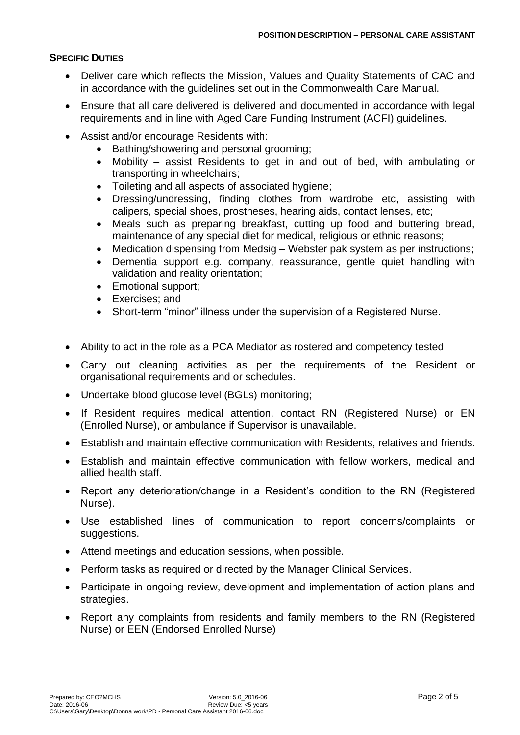## **SPECIFIC DUTIES**

- Deliver care which reflects the Mission, Values and Quality Statements of CAC and in accordance with the guidelines set out in the Commonwealth Care Manual.
- Ensure that all care delivered is delivered and documented in accordance with legal requirements and in line with Aged Care Funding Instrument (ACFI) guidelines.
- Assist and/or encourage Residents with:
	- Bathing/showering and personal grooming;
	- Mobility assist Residents to get in and out of bed, with ambulating or transporting in wheelchairs;
	- Toileting and all aspects of associated hygiene;
	- Dressing/undressing, finding clothes from wardrobe etc, assisting with calipers, special shoes, prostheses, hearing aids, contact lenses, etc;
	- Meals such as preparing breakfast, cutting up food and buttering bread, maintenance of any special diet for medical, religious or ethnic reasons;
	- Medication dispensing from Medsig Webster pak system as per instructions;
	- Dementia support e.g. company, reassurance, gentle quiet handling with validation and reality orientation;
	- Emotional support;
	- Exercises; and
	- Short-term "minor" illness under the supervision of a Registered Nurse.
- Ability to act in the role as a PCA Mediator as rostered and competency tested
- Carry out cleaning activities as per the requirements of the Resident or organisational requirements and or schedules.
- Undertake blood glucose level (BGLs) monitoring;
- If Resident requires medical attention, contact RN (Registered Nurse) or EN (Enrolled Nurse), or ambulance if Supervisor is unavailable.
- Establish and maintain effective communication with Residents, relatives and friends.
- Establish and maintain effective communication with fellow workers, medical and allied health staff.
- Report any deterioration/change in a Resident's condition to the RN (Registered Nurse).
- Use established lines of communication to report concerns/complaints or suggestions.
- Attend meetings and education sessions, when possible.
- Perform tasks as required or directed by the Manager Clinical Services.
- Participate in ongoing review, development and implementation of action plans and strategies.
- Report any complaints from residents and family members to the RN (Registered Nurse) or EEN (Endorsed Enrolled Nurse)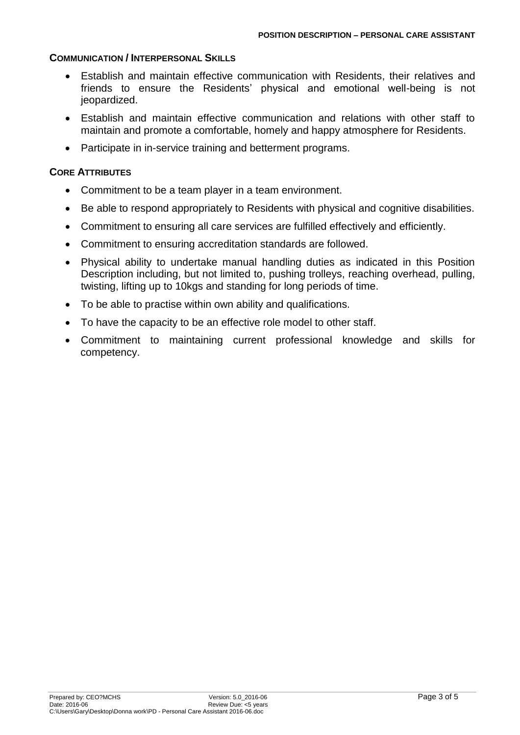## **COMMUNICATION / INTERPERSONAL SKILLS**

- Establish and maintain effective communication with Residents, their relatives and friends to ensure the Residents' physical and emotional well-being is not jeopardized.
- Establish and maintain effective communication and relations with other staff to maintain and promote a comfortable, homely and happy atmosphere for Residents.
- Participate in in-service training and betterment programs.

# **CORE ATTRIBUTES**

- Commitment to be a team player in a team environment.
- Be able to respond appropriately to Residents with physical and cognitive disabilities.
- Commitment to ensuring all care services are fulfilled effectively and efficiently.
- Commitment to ensuring accreditation standards are followed.
- Physical ability to undertake manual handling duties as indicated in this Position Description including, but not limited to, pushing trolleys, reaching overhead, pulling, twisting, lifting up to 10kgs and standing for long periods of time.
- To be able to practise within own ability and qualifications.
- To have the capacity to be an effective role model to other staff.
- Commitment to maintaining current professional knowledge and skills for competency.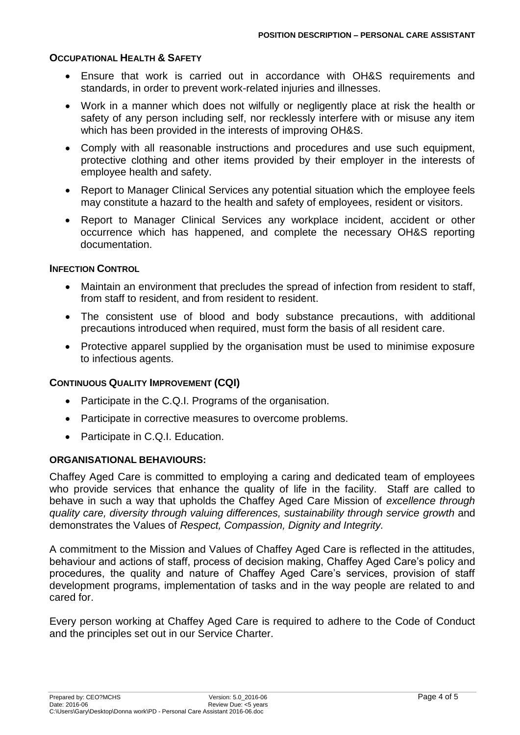## **OCCUPATIONAL HEALTH & SAFETY**

- Ensure that work is carried out in accordance with OH&S requirements and standards, in order to prevent work-related injuries and illnesses.
- Work in a manner which does not wilfully or negligently place at risk the health or safety of any person including self, nor recklessly interfere with or misuse any item which has been provided in the interests of improving OH&S.
- Comply with all reasonable instructions and procedures and use such equipment, protective clothing and other items provided by their employer in the interests of employee health and safety.
- Report to Manager Clinical Services any potential situation which the employee feels may constitute a hazard to the health and safety of employees, resident or visitors.
- Report to Manager Clinical Services any workplace incident, accident or other occurrence which has happened, and complete the necessary OH&S reporting documentation.

## **INFECTION CONTROL**

- Maintain an environment that precludes the spread of infection from resident to staff, from staff to resident, and from resident to resident.
- The consistent use of blood and body substance precautions, with additional precautions introduced when required, must form the basis of all resident care.
- Protective apparel supplied by the organisation must be used to minimise exposure to infectious agents.

# **CONTINUOUS QUALITY IMPROVEMENT (CQI)**

- Participate in the C.Q.I. Programs of the organisation.
- Participate in corrective measures to overcome problems.
- Participate in C.Q.I. Education.

#### **ORGANISATIONAL BEHAVIOURS:**

Chaffey Aged Care is committed to employing a caring and dedicated team of employees who provide services that enhance the quality of life in the facility. Staff are called to behave in such a way that upholds the Chaffey Aged Care Mission of *excellence through quality care, diversity through valuing differences, sustainability through service growth* and demonstrates the Values of *Respect, Compassion, Dignity and Integrity.*

A commitment to the Mission and Values of Chaffey Aged Care is reflected in the attitudes, behaviour and actions of staff, process of decision making, Chaffey Aged Care's policy and procedures, the quality and nature of Chaffey Aged Care's services, provision of staff development programs, implementation of tasks and in the way people are related to and cared for.

Every person working at Chaffey Aged Care is required to adhere to the Code of Conduct and the principles set out in our Service Charter.